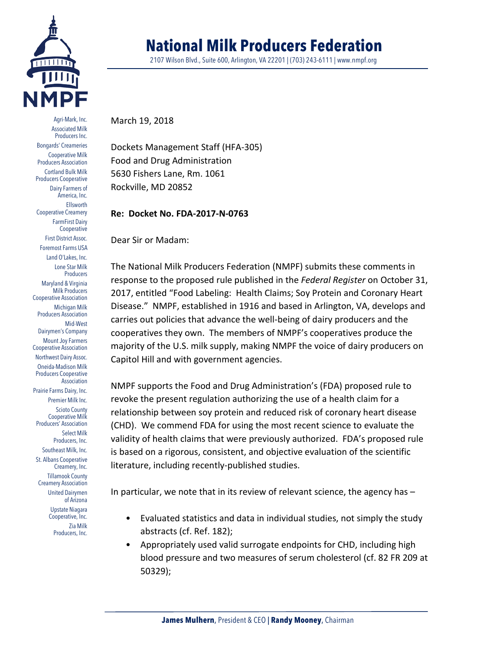

Agri-Mark, Inc. Associated Milk Producers Inc. Bongards' Creameries Cooperative Milk Producers Association Cortland Bulk Milk Producers Cooperative Dairy Farmers of America, Inc. Ellsworth Cooperative Creamery FarmFirst Dairy Cooperative First District Assoc. Foremost Farms USA Land O'Lakes, Inc. Lone Star Milk **Producers** Maryland & Virginia Milk Producers Cooperative Association Michigan Milk Producers Association Mid-West Dairymen's Company Mount Joy Farmers Cooperative Association Northwest Dairy Assoc. Oneida-Madison Milk Producers Cooperative Association Prairie Farms Dairy, Inc. Premier Milk Inc. Scioto County Cooperative Milk Producers' Association Select Milk Producers, Inc. Southeast Milk, Inc. St. Albans Cooperative Creamery, Inc. Tillamook County Creamery Association United Dairymen of Arizona Upstate Niagara Cooperative, Inc. Zia Milk Producers, Inc.

## **National Milk Producers Federation**

2107 Wilson Blvd., Suite 600, Arlington, VA 22201 | (703) 243-6111 | www.nmpf.org

March 19, 2018

Dockets Management Staff (HFA-305) Food and Drug Administration 5630 Fishers Lane, Rm. 1061 Rockville, MD 20852

## **Re: Docket No. FDA-2017-N-0763**

Dear Sir or Madam:

The National Milk Producers Federation (NMPF) submits these comments in response to the proposed rule published in the *Federal Register* on October 31, 2017, entitled "Food Labeling: Health Claims; Soy Protein and Coronary Heart Disease." NMPF, established in 1916 and based in Arlington, VA, develops and carries out policies that advance the well-being of dairy producers and the cooperatives they own. The members of NMPF's cooperatives produce the majority of the U.S. milk supply, making NMPF the voice of dairy producers on Capitol Hill and with government agencies.

NMPF supports the Food and Drug Administration's (FDA) proposed rule to revoke the present regulation authorizing the use of a health claim for a relationship between soy protein and reduced risk of coronary heart disease (CHD). We commend FDA for using the most recent science to evaluate the validity of health claims that were previously authorized. FDA's proposed rule is based on a rigorous, consistent, and objective evaluation of the scientific literature, including recently-published studies.

In particular, we note that in its review of relevant science, the agency has –

- Evaluated statistics and data in individual studies, not simply the study abstracts (cf. Ref. 182);
- Appropriately used valid surrogate endpoints for CHD, including high blood pressure and two measures of serum cholesterol (cf. 82 FR 209 at 50329);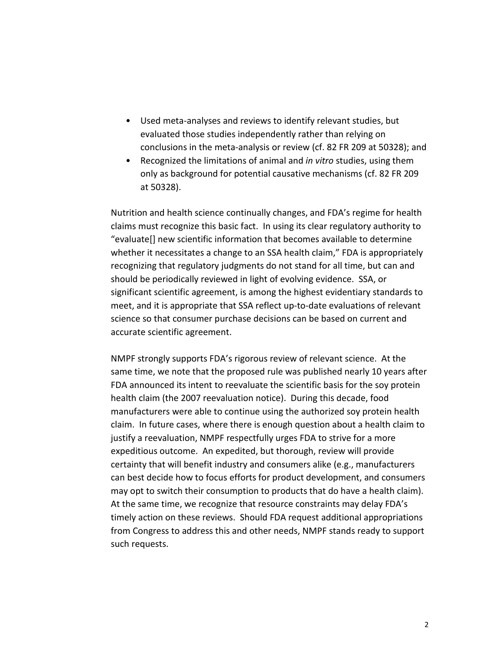- Used meta-analyses and reviews to identify relevant studies, but evaluated those studies independently rather than relying on conclusions in the meta-analysis or review (cf. 82 FR 209 at 50328); and
- Recognized the limitations of animal and *in vitro* studies, using them only as background for potential causative mechanisms (cf. 82 FR 209 at 50328).

Nutrition and health science continually changes, and FDA's regime for health claims must recognize this basic fact. In using its clear regulatory authority to "evaluate[] new scientific information that becomes available to determine whether it necessitates a change to an SSA health claim," FDA is appropriately recognizing that regulatory judgments do not stand for all time, but can and should be periodically reviewed in light of evolving evidence. SSA, or significant scientific agreement, is among the highest evidentiary standards to meet, and it is appropriate that SSA reflect up-to-date evaluations of relevant science so that consumer purchase decisions can be based on current and accurate scientific agreement.

NMPF strongly supports FDA's rigorous review of relevant science. At the same time, we note that the proposed rule was published nearly 10 years after FDA announced its intent to reevaluate the scientific basis for the soy protein health claim (the 2007 reevaluation notice). During this decade, food manufacturers were able to continue using the authorized soy protein health claim. In future cases, where there is enough question about a health claim to justify a reevaluation, NMPF respectfully urges FDA to strive for a more expeditious outcome. An expedited, but thorough, review will provide certainty that will benefit industry and consumers alike (e.g., manufacturers can best decide how to focus efforts for product development, and consumers may opt to switch their consumption to products that do have a health claim). At the same time, we recognize that resource constraints may delay FDA's timely action on these reviews. Should FDA request additional appropriations from Congress to address this and other needs, NMPF stands ready to support such requests.